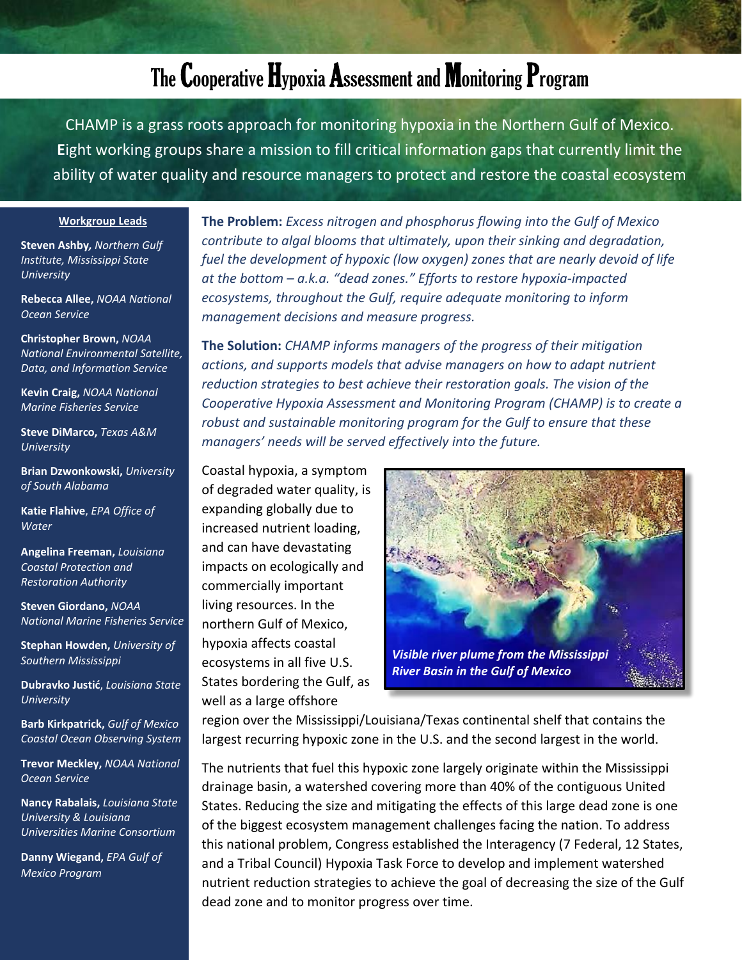## The Cooperative Hypoxia Assessment and Monitoring Program

CHAMP is a grass roots approach for monitoring hypoxia in the Northern Gulf of Mexico. **E**ight working groups share a mission to fill critical information gaps that currently limit the ability of water quality and resource managers to protect and restore the coastal ecosystem

## **Workgroup Leads**

**Steven Ashby***, Northern Gulf Institute, Mississippi State University*

**Rebecca Allee,** *NOAA National Ocean Service*

**Christopher Brown,** *NOAA National Environmental Satellite, Data, and Information Service*

**Kevin Craig,** *NOAA National Marine Fisheries Service*

**Steve DiMarco,** *Texas A&M University*

**Brian Dzwonkowski,** *University of South Alabama*

**Katie Flahive**, *EPA Office of Water* 

**Angelina Freeman,** *Louisiana Coastal Protection and Restoration Authority*

**Steven Giordano,** *NOAA National Marine Fisheries Service*

**Stephan Howden,** *University of Southern Mississippi*

**Dubravko Justić**, *Louisiana State University*

**Barb Kirkpatrick,** *Gulf of Mexico Coastal Ocean Observing System* 

**Trevor Meckley,** *NOAA National Ocean Service*

**Nancy Rabalais,** *Louisiana State University & Louisiana Universities Marine Consortium* 

**Danny Wiegand,** *EPA Gulf of Mexico Program*

**The Problem:** *Excess nitrogen and phosphorus flowing into the Gulf of Mexico contribute to algal blooms that ultimately, upon their sinking and degradation, fuel the development of hypoxic (low oxygen) zones that are nearly devoid of life at the bottom – a.k.a. "dead zones." Efforts to restore hypoxia-impacted ecosystems, throughout the Gulf, require adequate monitoring to inform management decisions and measure progress.*

**The Solution:** *CHAMP informs managers of the progress of their mitigation actions, and supports models that advise managers on how to adapt nutrient reduction strategies to best achieve their restoration goals. The vision of the Cooperative Hypoxia Assessment and Monitoring Program (CHAMP) is to create a robust and sustainable monitoring program for the Gulf to ensure that these managers' needs will be served effectively into the future.*

Coastal hypoxia, a symptom of degraded water quality, is expanding globally due to increased nutrient loading, and can have devastating impacts on ecologically and commercially important living resources. In the northern Gulf of Mexico, hypoxia affects coastal ecosystems in all five U.S. States bordering the Gulf, as well as a large offshore



region over the Mississippi/Louisiana/Texas continental shelf that contains the largest recurring hypoxic zone in the U.S. and the second largest in the world.

The nutrients that fuel this hypoxic zone largely originate within the Mississippi drainage basin, a watershed covering more than 40% of the contiguous United States. Reducing the size and mitigating the effects of this large dead zone is one of the biggest ecosystem management challenges facing the nation. To address this national problem, Congress established the Interagency (7 Federal, 12 States, and a Tribal Council) Hypoxia Task Force to develop and implement watershed nutrient reduction strategies to achieve the goal of decreasing the size of the Gulf dead zone and to monitor progress over time.